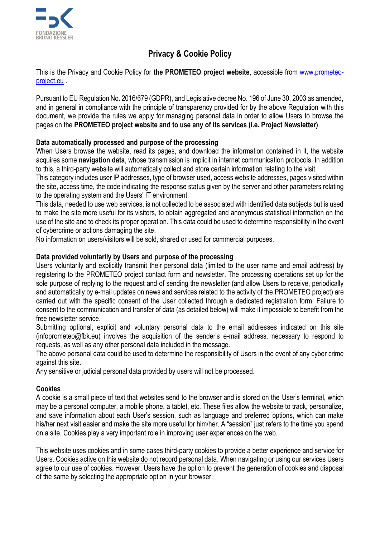

# **Privacy & Cookie Policy**

This is the Privacy and Cookie Policy for **the PROMETEO project website**, accessible from [www.prometeo](http://www.prometeo-project.eu/)[project.eu](http://www.prometeo-project.eu/) .

Pursuant to EU Regulation No. 2016/679 (GDPR), and Legislative decree No. 196 of June 30, 2003 as amended, and in general in compliance with the principle of transparency provided for by the above Regulation with this document, we provide the rules we apply for managing personal data in order to allow Users to browse the pages on the **PROMETEO project website and to use any of its services (i.e. Project Newsletter)**.

## **Data automatically processed and purpose of the processing**

When Users browse the website, read its pages, and download the information contained in it, the website acquires some **navigation data**, whose transmission is implicit in internet communication protocols. In addition to this, a third-party website will automatically collect and store certain information relating to the visit.

This category includes user IP addresses, type of browser used, access website addresses, pages visited within the site, access time, the code indicating the response status given by the server and other parameters relating to the operating system and the Users' IT environment.

This data, needed to use web services, is not collected to be associated with identified data subjects but is used to make the site more useful for its visitors, to obtain aggregated and anonymous statistical information on the use of the site and to check its proper operation. This data could be used to determine responsibility in the event of cybercrime or actions damaging the site.

No information on users/visitors will be sold, shared or used for commercial purposes.

## **Data provided voluntarily by Users and purpose of the processing**

Users voluntarily and explicitly transmit their personal data (limited to the user name and email address) by registering to the PROMETEO project contact form and newsletter. The processing operations set up for the sole purpose of replying to the request and of sending the newsletter (and allow Users to receive, periodically and automatically by e-mail updates on news and services related to the activity of the PROMETEO project) are carried out with the specific consent of the User collected through a dedicated registration form. Failure to consent to the communication and transfer of data (as detailed below) will make it impossible to benefit from the free newsletter service.

Submitting optional, explicit and voluntary personal data to the email addresses indicated on this site (infoprometeo@fbk.eu) involves the acquisition of the sender's e-mail address, necessary to respond to requests, as well as any other personal data included in the message.

The above personal data could be used to determine the responsibility of Users in the event of any cyber crime against this site.

Any sensitive or judicial personal data provided by users will not be processed.

#### **Cookies**

A cookie is a small piece of text that websites send to the browser and is stored on the User's terminal, which may be a personal computer, a mobile phone, a tablet, etc. These files allow the website to track, personalize, and save information about each User's session, such as language and preferred options, which can make his/her next visit easier and make the site more useful for him/her. A "session" just refers to the time you spend on a site. Cookies play a very important role in improving user experiences on the web.

This website uses cookies and in some cases third-party cookies to provide a better experience and service for Users. Cookies active on this website do not record personal data. When navigating or using our services Users agree to our use of cookies. However, Users have the option to prevent the generation of cookies and disposal of the same by selecting the appropriate option in your browser.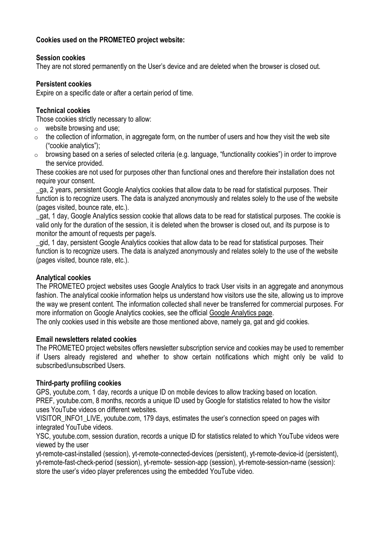## **Cookies used on the PROMETEO project website:**

#### **Session cookies**

They are not stored permanently on the User's device and are deleted when the browser is closed out.

#### **Persistent cookies**

Expire on a specific date or after a certain period of time.

#### **Technical cookies**

Those cookies strictly necessary to allow:

- $\circ$  website browsing and use;
- $\circ$  the collection of information, in aggregate form, on the number of users and how they visit the web site ("cookie analytics");
- o browsing based on a series of selected criteria (e.g. language, "functionality cookies") in order to improve the service provided.

These cookies are not used for purposes other than functional ones and therefore their installation does not require your consent.

\_ga, 2 years, persistent Google Analytics cookies that allow data to be read for statistical purposes. Their function is to recognize users. The data is analyzed anonymously and relates solely to the use of the website (pages visited, bounce rate, etc.).

\_gat, 1 day, Google Analytics session cookie that allows data to be read for statistical purposes. The cookie is valid only for the duration of the session, it is deleted when the browser is closed out, and its purpose is to monitor the amount of requests per page/s.

\_gid, 1 day, persistent Google Analytics cookies that allow data to be read for statistical purposes. Their function is to recognize users. The data is analyzed anonymously and relates solely to the use of the website (pages visited, bounce rate, etc.).

#### **Analytical cookies**

The PROMETEO project websites uses Google Analytics to track User visits in an aggregate and anonymous fashion. The analytical cookie information helps us understand how visitors use the site, allowing us to improve the way we present content. The information collected shall never be transferred for commercial purposes. For more information on Google Analytics cookies, see the official Google [Analytics](http://www.google.com/analytics/terms/it.html) page.

The only cookies used in this website are those mentioned above, namely ga, gat and gid cookies.

#### **Email newsletters related cookies**

The PROMETEO project websites offers newsletter subscription service and cookies may be used to remember if Users already registered and whether to show certain notifications which might only be valid to subscribed/unsubscribed Users.

#### **Third-party profiling cookies**

GPS, youtube.com, 1 day, records a unique ID on mobile devices to allow tracking based on location. PREF, youtube.com, 8 months, records a unique ID used by Google for statistics related to how the visitor uses YouTube videos on different websites.

VISITOR INFO1 LIVE, youtube.com, 179 days, estimates the user's connection speed on pages with integrated YouTube videos.

YSC, youtube.com, session duration, records a unique ID for statistics related to which YouTube videos were viewed by the user

yt-remote-cast-installed (session), yt-remote-connected-devices (persistent), yt-remote-device-id (persistent), yt-remote-fast-check-period (session), yt-remote- session-app (session), yt-remote-session-name (session): store the user's video player preferences using the embedded YouTube video.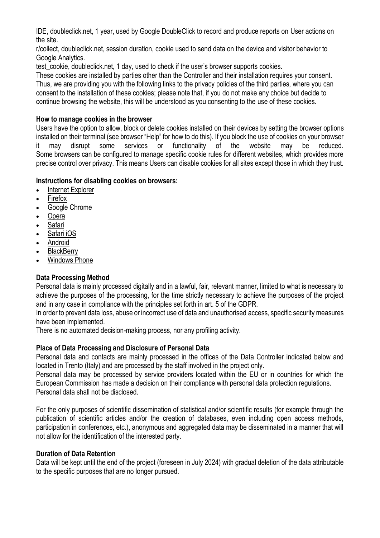IDE, doubleclick.net, 1 year, used by Google DoubleClick to record and produce reports on User actions on the site.

r/collect, doubleclick.net, session duration, cookie used to send data on the device and visitor behavior to Google Analytics.

test cookie, doubleclick.net, 1 day, used to check if the user's browser supports cookies.

These cookies are installed by parties other than the Controller and their installation requires your consent. Thus, we are providing you with the following links to the privacy policies of the third parties, where you can consent to the installation of these cookies; please note that, if you do not make any choice but decide to continue browsing the website, this will be understood as you consenting to the use of these cookies.

#### **How to manage cookies in the browser**

Users have the option to allow, block or delete cookies installed on their devices by setting the browser options installed on their terminal (see browser "Help" for how to do this). If you block the use of cookies on your browser it may disrupt some services or functionality of the website may be reduced. Some browsers can be configured to manage specific cookie rules for different websites, which provides more precise control over privacy. This means Users can disable cookies for all sites except those in which they trust.

#### **Instructions for disabling cookies on browsers:**

- Internet [Explorer](https://support.microsoft.com/en-us/topic/delete-and-manage-cookies-168dab11-0753-043d-7c16-ede5947fc64d)
- [Firefox](https://support.mozilla.org/en-US/kb/cookies-information-websites-store-on-your-computer)
- Google [Chrome](https://support.google.com/chrome/answer/95647?hl=en-GB)
- [Opera](https://help.opera.com/en/latest/)
- **[Safari](https://support.apple.com/en-gb/guide/safari/sfri11471/mac)**
- [Safari](https://support.apple.com/en-gb/HT201265) iOS
- [Android](https://support.google.com/chrome/answer/95647?hl=en-GB&co=GENIE.Platform%3DAndroid&oco=1)
- **[BlackBerry](https://www.tclcom.com/bb/support)**
- [Windows](https://support.microsoft.com/en-us/windows/windows-phone-7-3ebc303c-59c0-d367-3995-f258b184fabb) Phone

# **Data Processing Method**

Personal data is mainly processed digitally and in a lawful, fair, relevant manner, limited to what is necessary to achieve the purposes of the processing, for the time strictly necessary to achieve the purposes of the project and in any case in compliance with the principles set forth in art. 5 of the GDPR.

In order to prevent data loss, abuse or incorrect use of data and unauthorised access, specific security measures have been implemented.

There is no automated decision-making process, nor any profiling activity.

# **Place of Data Processing and Disclosure of Personal Data**

Personal data and contacts are mainly processed in the offices of the Data Controller indicated below and located in Trento (Italy) and are processed by the staff involved in the project only.

Personal data may be processed by service providers located within the EU or in countries for which the European Commission has made a decision on their compliance with personal data protection regulations. Personal data shall not be disclosed.

For the only purposes of scientific dissemination of statistical and/or scientific results (for example through the publication of scientific articles and/or the creation of databases, even including open access methods, participation in conferences, etc.), anonymous and aggregated data may be disseminated in a manner that will not allow for the identification of the interested party.

#### **Duration of Data Retention**

Data will be kept until the end of the project (foreseen in July 2024) with gradual deletion of the data attributable to the specific purposes that are no longer pursued.